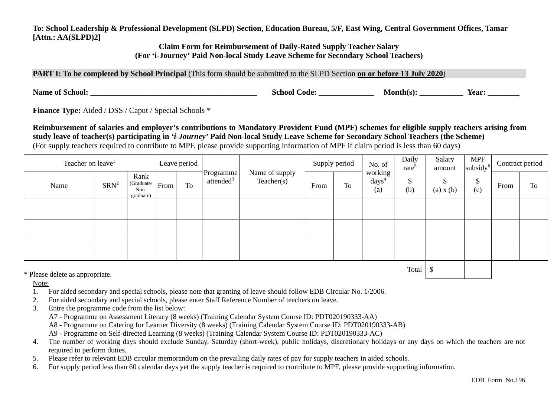**To: School Leadership & Professional Development (SLPD) Section, Education Bureau, 5/F, East Wing, Central Government Offices, Tamar [Attn.: AA(SLPD)2]**

> **Claim Form for Reimbursement of Daily-Rated Supply Teacher Salary (For 'i-Journey' Paid Non-local Study Leave Scheme for Secondary School Teachers)**

**PART I: To be completed by School Principal** (This form should be submitted to the SLPD Section **on or before 13 July 2020**)

**Name of School: Name of School: Name of School: Name of School: Name is a set of School: Next**: **Name is a set of**  $\mathbb{R}^n$ **: <b>Name is a set of School: Name is a set of**  $\mathbb{R}^n$ **: Name is a set of \mathbb{R}^n** 

**Finance Type:** Aided / DSS / Caput / Special Schools \*

**Reimbursement of salaries and employer's contributions to Mandatory Provident Fund (MPF) schemes for eligible supply teachers arising from study leave of teacher(s) participating in** *'i-Journey'* **Paid Non-local Study Leave Scheme for Secondary School Teachers (the Scheme)**  (For supply teachers required to contribute to MPF, please provide supporting information of MPF if claim period is less than 60 days)

| Teacher on leave <sup>1</sup>   |         |                                         |      | Leave period |                                    |                              | Supply period |    | No. of                            | Daily<br>rate <sup>5</sup> | Salary<br>amount | <b>MPF</b><br>subsidy <sup>6</sup> | Contract period |    |
|---------------------------------|---------|-----------------------------------------|------|--------------|------------------------------------|------------------------------|---------------|----|-----------------------------------|----------------------------|------------------|------------------------------------|-----------------|----|
| Name                            | $SRN^2$ | Rank<br>(Graduate/<br>Non-<br>graduate) | From | To           | Programme<br>attended <sup>3</sup> | Name of supply<br>Teacher(s) | From          | To | working<br>$\text{days}^4$<br>(a) | D<br>(b)                   | \$<br>(a) x (b)  | \$<br>(c)                          | From            | To |
|                                 |         |                                         |      |              |                                    |                              |               |    |                                   |                            |                  |                                    |                 |    |
|                                 |         |                                         |      |              |                                    |                              |               |    |                                   |                            |                  |                                    |                 |    |
|                                 |         |                                         |      |              |                                    |                              |               |    |                                   |                            |                  |                                    |                 |    |
| * Please delete as appropriate. |         |                                         |      |              |                                    |                              |               |    | Total                             |                            |                  |                                    |                 |    |

Note:

- 1. For aided secondary and special schools, please note that granting of leave should follow EDB Circular No. 1/2006.
- 2.For aided secondary and special schools, please enter Staff Reference Number of teachers on leave.
- 3. Entre the programme code from the list below:
	- A7 Programme on Assessment Literacy (8 weeks) (Training Calendar System Course ID: PDT020190333-AA)
	- A8 Programme on Catering for Learner Diversity (8 weeks) (Training Calendar System Course ID: PDT020190333-AB)
	- A9 Programme on Self-directed Learning (8 weeks) (Training Calendar System Course ID: PDT020190333-AC)
- 4. The number of working days should exclude Sunday, Saturday (short-week), public holidays, discretionary holidays or any days on which the teachers are not required to perform duties.
- 5.Please refer to relevant EDB circular memorandum on the prevailing daily rates of pay for supply teachers in aided schools.
- 6.For supply period less than 60 calendar days yet the supply teacher is required to contribute to MPF, please provide supporting information.